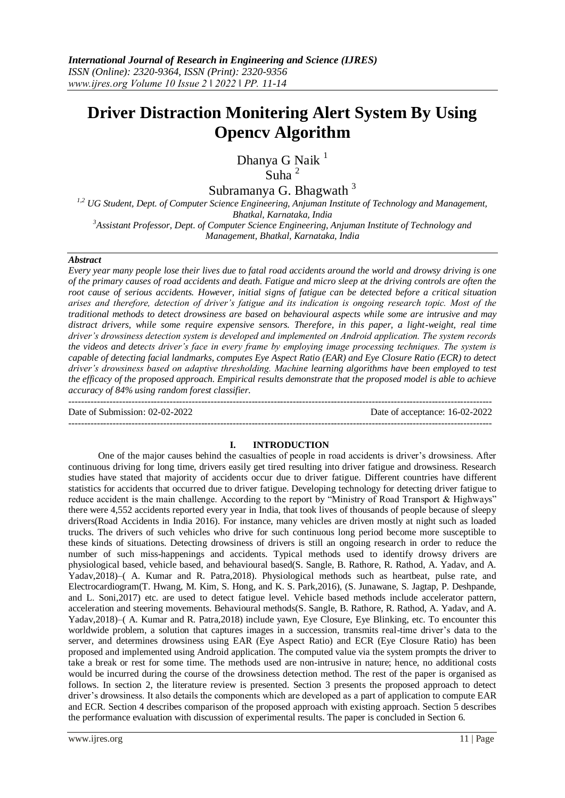# **Driver Distraction Monitering Alert System By Using Opencv Algorithm**

Dhanya G Naik<sup>1</sup> Suha<sup>2</sup>

Subramanya G. Bhagwath<sup>3</sup>

*1,2 UG Student, Dept. of Computer Science Engineering, Anjuman Institute of Technology and Management, Bhatkal, Karnataka, India*

*<sup>3</sup>Assistant Professor, Dept. of Computer Science Engineering, Anjuman Institute of Technology and Management, Bhatkal, Karnataka, India*

#### *Abstract*

*Every year many people lose their lives due to fatal road accidents around the world and drowsy driving is one of the primary causes of road accidents and death. Fatigue and micro sleep at the driving controls are often the root cause of serious accidents. However, initial signs of fatigue can be detected before a critical situation arises and therefore, detection of driver's fatigue and its indication is ongoing research topic. Most of the traditional methods to detect drowsiness are based on behavioural aspects while some are intrusive and may distract drivers, while some require expensive sensors. Therefore, in this paper, a light-weight, real time driver's drowsiness detection system is developed and implemented on Android application. The system records the videos and detects driver's face in every frame by employing image processing techniques. The system is capable of detecting facial landmarks, computes Eye Aspect Ratio (EAR) and Eye Closure Ratio (ECR) to detect driver's drowsiness based on adaptive thresholding. Machine learning algorithms have been employed to test the efficacy of the proposed approach. Empirical results demonstrate that the proposed model is able to achieve accuracy of 84% using random forest classifier.* --------------------------------------------------------------------------------------------------------------------------------------

Date of Submission: 02-02-2022 Date of acceptance: 16-02-2022 --------------------------------------------------------------------------------------------------------------------------------------

#### **I. INTRODUCTION**

One of the major causes behind the casualties of people in road accidents is driver's drowsiness. After continuous driving for long time, drivers easily get tired resulting into driver fatigue and drowsiness. Research studies have stated that majority of accidents occur due to driver fatigue. Different countries have different statistics for accidents that occurred due to driver fatigue. Developing technology for detecting driver fatigue to reduce accident is the main challenge. According to the report by "Ministry of Road Transport & Highways" there were 4,552 accidents reported every year in India, that took lives of thousands of people because of sleepy drivers(Road Accidents in India 2016). For instance, many vehicles are driven mostly at night such as loaded trucks. The drivers of such vehicles who drive for such continuous long period become more susceptible to these kinds of situations. Detecting drowsiness of drivers is still an ongoing research in order to reduce the number of such miss-happenings and accidents. Typical methods used to identify drowsy drivers are physiological based, vehicle based, and behavioural based(S. Sangle, B. Rathore, R. Rathod, A. Yadav, and A. Yadav,2018)–( A. Kumar and R. Patra,2018). Physiological methods such as heartbeat, pulse rate, and Electrocardiogram(T. Hwang, M. Kim, S. Hong, and K. S. Park,2016), (S. Junawane, S. Jagtap, P. Deshpande, and L. Soni,2017) etc. are used to detect fatigue level. Vehicle based methods include accelerator pattern, acceleration and steering movements. Behavioural methods(S. Sangle, B. Rathore, R. Rathod, A. Yadav, and A. Yadav,2018)–( A. Kumar and R. Patra,2018) include yawn, Eye Closure, Eye Blinking, etc. To encounter this worldwide problem, a solution that captures images in a succession, transmits real-time driver's data to the server, and determines drowsiness using EAR (Eye Aspect Ratio) and ECR (Eye Closure Ratio) has been proposed and implemented using Android application. The computed value via the system prompts the driver to take a break or rest for some time. The methods used are non-intrusive in nature; hence, no additional costs would be incurred during the course of the drowsiness detection method. The rest of the paper is organised as follows. In section 2, the literature review is presented. Section 3 presents the proposed approach to detect driver's drowsiness. It also details the components which are developed as a part of application to compute EAR and ECR. Section 4 describes comparison of the proposed approach with existing approach. Section 5 describes the performance evaluation with discussion of experimental results. The paper is concluded in Section 6.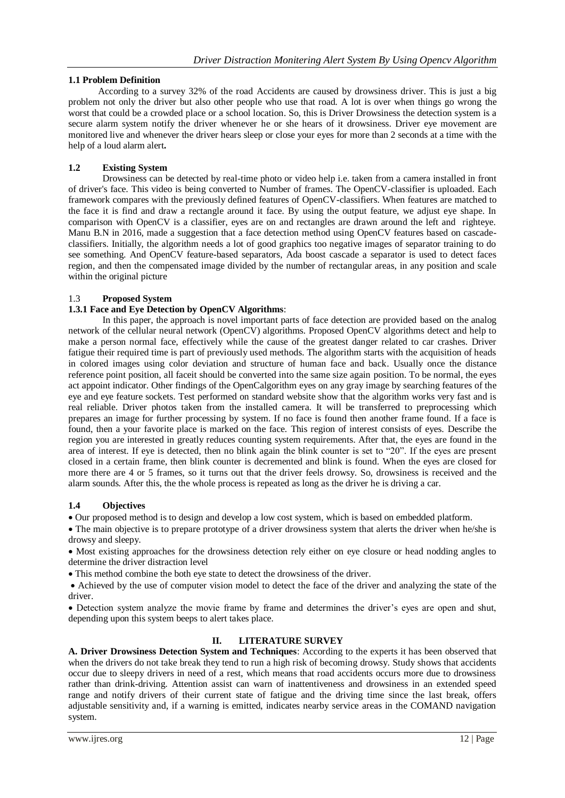## **1.1 Problem Definition**

According to a survey 32% of the road Accidents are caused by drowsiness driver. This is just a big problem not only the driver but also other people who use that road. A lot is over when things go wrong the worst that could be a crowded place or a school location. So, this is Driver Drowsiness the detection system is a secure alarm system notify the driver whenever he or she hears of it drowsiness. Driver eye movement are monitored live and whenever the driver hears sleep or close your eyes for more than 2 seconds at a time with the help of a loud alarm alert**.**

## **1.2 Existing System**

Drowsiness can be detected by real-time photo or video help i.e. taken from a camera installed in front of driver's face. This video is being converted to Number of frames. The OpenCV-classifier is uploaded. Each framework compares with the previously defined features of OpenCV-classifiers. When features are matched to the face it is find and draw a rectangle around it face. By using the output feature, we adjust eye shape. In comparison with OpenCV is a classifier, eyes are on and rectangles are drawn around the left and righteye. Manu B.N in 2016, made a suggestion that a face detection method using OpenCV features based on cascadeclassifiers. Initially, the algorithm needs a lot of good graphics too negative images of separator training to do see something. And OpenCV feature-based separators, Ada boost cascade a separator is used to detect faces region, and then the compensated image divided by the number of rectangular areas, in any position and scale within the original picture

## 1.3 **Proposed System**

## **1.3.1 Face and Eye Detection by OpenCV Algorithms**:

In this paper, the approach is novel important parts of face detection are provided based on the analog network of the cellular neural network (OpenCV) algorithms. Proposed OpenCV algorithms detect and help to make a person normal face, effectively while the cause of the greatest danger related to car crashes. Driver fatigue their required time is part of previously used methods. The algorithm starts with the acquisition of heads in colored images using color deviation and structure of human face and back. Usually once the distance reference point position, all faceit should be converted into the same size again position. To be normal, the eyes act appoint indicator. Other findings of the OpenCalgorithm eyes on any gray image by searching features of the eye and eye feature sockets. Test performed on standard website show that the algorithm works very fast and is real reliable. Driver photos taken from the installed camera. It will be transferred to preprocessing which prepares an image for further processing by system. If no face is found then another frame found. If a face is found, then a your favorite place is marked on the face. This region of interest consists of eyes. Describe the region you are interested in greatly reduces counting system requirements. After that, the eyes are found in the area of interest. If eye is detected, then no blink again the blink counter is set to "20". If the eyes are present closed in a certain frame, then blink counter is decremented and blink is found. When the eyes are closed for more there are 4 or 5 frames, so it turns out that the driver feels drowsy. So, drowsiness is received and the alarm sounds. After this, the the whole process is repeated as long as the driver he is driving a car.

## **1.4 Objectives**

Our proposed method is to design and develop a low cost system, which is based on embedded platform.

 The main objective is to prepare prototype of a driver drowsiness system that alerts the driver when he/she is drowsy and sleepy.

 Most existing approaches for the drowsiness detection rely either on eye closure or head nodding angles to determine the driver distraction level

This method combine the both eye state to detect the drowsiness of the driver.

 Achieved by the use of computer vision model to detect the face of the driver and analyzing the state of the driver.

 Detection system analyze the movie frame by frame and determines the driver's eyes are open and shut, depending upon this system beeps to alert takes place.

# **II. LITERATURE SURVEY**

**A. Driver Drowsiness Detection System and Techniques**: According to the experts it has been observed that when the drivers do not take break they tend to run a high risk of becoming drowsy. Study shows that accidents occur due to sleepy drivers in need of a rest, which means that road accidents occurs more due to drowsiness rather than drink-driving. Attention assist can warn of inattentiveness and drowsiness in an extended speed range and notify drivers of their current state of fatigue and the driving time since the last break, offers adjustable sensitivity and, if a warning is emitted, indicates nearby service areas in the COMAND navigation system.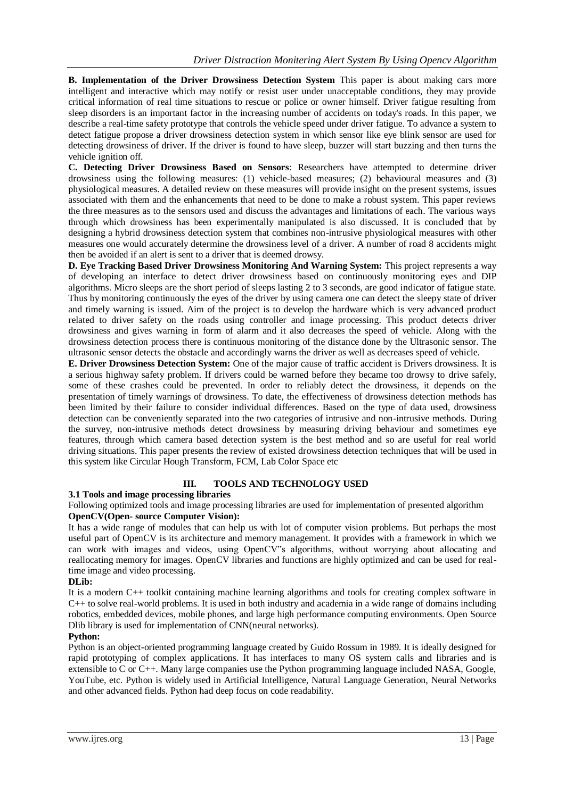**B. Implementation of the Driver Drowsiness Detection System** This paper is about making cars more intelligent and interactive which may notify or resist user under unacceptable conditions, they may provide critical information of real time situations to rescue or police or owner himself. Driver fatigue resulting from sleep disorders is an important factor in the increasing number of accidents on today's roads. In this paper, we describe a real-time safety prototype that controls the vehicle speed under driver fatigue. To advance a system to detect fatigue propose a driver drowsiness detection system in which sensor like eye blink sensor are used for detecting drowsiness of driver. If the driver is found to have sleep, buzzer will start buzzing and then turns the vehicle ignition off.

**C. Detecting Driver Drowsiness Based on Sensors**: Researchers have attempted to determine driver drowsiness using the following measures: (1) vehicle-based measures; (2) behavioural measures and (3) physiological measures. A detailed review on these measures will provide insight on the present systems, issues associated with them and the enhancements that need to be done to make a robust system. This paper reviews the three measures as to the sensors used and discuss the advantages and limitations of each. The various ways through which drowsiness has been experimentally manipulated is also discussed. It is concluded that by designing a hybrid drowsiness detection system that combines non-intrusive physiological measures with other measures one would accurately determine the drowsiness level of a driver. A number of road 8 accidents might then be avoided if an alert is sent to a driver that is deemed drowsy.

**D. Eye Tracking Based Driver Drowsiness Monitoring And Warning System:** This project represents a way of developing an interface to detect driver drowsiness based on continuously monitoring eyes and DIP algorithms. Micro sleeps are the short period of sleeps lasting 2 to 3 seconds, are good indicator of fatigue state. Thus by monitoring continuously the eyes of the driver by using camera one can detect the sleepy state of driver and timely warning is issued. Aim of the project is to develop the hardware which is very advanced product related to driver safety on the roads using controller and image processing. This product detects driver drowsiness and gives warning in form of alarm and it also decreases the speed of vehicle. Along with the drowsiness detection process there is continuous monitoring of the distance done by the Ultrasonic sensor. The ultrasonic sensor detects the obstacle and accordingly warns the driver as well as decreases speed of vehicle.

**E. Driver Drowsiness Detection System:** One of the major cause of traffic accident is Drivers drowsiness. It is a serious highway safety problem. If drivers could be warned before they became too drowsy to drive safely, some of these crashes could be prevented. In order to reliably detect the drowsiness, it depends on the presentation of timely warnings of drowsiness. To date, the effectiveness of drowsiness detection methods has been limited by their failure to consider individual differences. Based on the type of data used, drowsiness detection can be conveniently separated into the two categories of intrusive and non-intrusive methods. During the survey, non-intrusive methods detect drowsiness by measuring driving behaviour and sometimes eye features, through which camera based detection system is the best method and so are useful for real world driving situations. This paper presents the review of existed drowsiness detection techniques that will be used in this system like Circular Hough Transform, FCM, Lab Color Space etc

## **III. TOOLS AND TECHNOLOGY USED**

## **3.1 Tools and image processing libraries**

Following optimized tools and image processing libraries are used for implementation of presented algorithm **OpenCV(Open- source Computer Vision):**

It has a wide range of modules that can help us with lot of computer vision problems. But perhaps the most useful part of OpenCV is its architecture and memory management. It provides with a framework in which we can work with images and videos, using OpenCV"s algorithms, without worrying about allocating and reallocating memory for images. OpenCV libraries and functions are highly optimized and can be used for realtime image and video processing.

#### **DLib:**

It is a modern C++ toolkit containing machine learning algorithms and tools for creating complex software in C++ to solve real-world problems. It is used in both industry and academia in a wide range of domains including robotics, embedded devices, mobile phones, and large high performance computing environments. Open Source Dlib library is used for implementation of CNN(neural networks).

## **Python:**

Python is an object-oriented programming language created by Guido Rossum in 1989. It is ideally designed for rapid prototyping of complex applications. It has interfaces to many OS system calls and libraries and is extensible to C or C++. Many large companies use the Python programming language included NASA, Google, YouTube, etc. Python is widely used in Artificial Intelligence, Natural Language Generation, Neural Networks and other advanced fields. Python had deep focus on code readability.